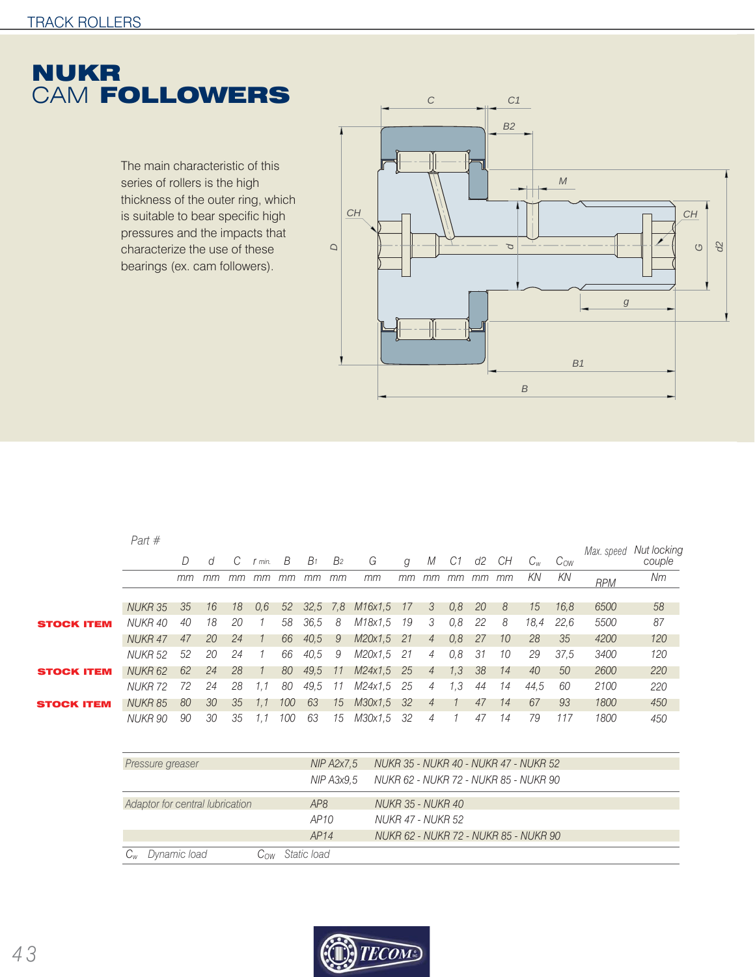

The main characteristic of this series of rollers is the high thickness of the outer ring, which is suitable to bear specific high pressures and the impacts that characterize the use of these bearings (ex. cam followers).



|                   | Part $#$           |    |    |    |                |     |            |                |         |      |                |     |    |    |      |          |            |                       |
|-------------------|--------------------|----|----|----|----------------|-----|------------|----------------|---------|------|----------------|-----|----|----|------|----------|------------|-----------------------|
|                   |                    |    | d  | C  | min.           | B   | $B_1$      | B <sub>2</sub> | G       | g    | М              | C1  | d2 | CH |      | $C_{OW}$ | Max. speed | Nut locking<br>couple |
|                   |                    | mm | mm | mm | mm             | mm  | mm         | mm             | тm      | тm   | <i>mm</i>      | mm  | mm | mm | KN   | KN       | <b>RPM</b> | Nm                    |
|                   |                    |    |    |    |                |     |            |                |         |      |                |     |    |    |      |          |            |                       |
|                   | NUKR 35            | 35 | 16 | 18 | 0,6            | 52  | $32.5$ 7.8 |                | M16x1.5 | - 17 | 3              | 0,8 | 20 | 8  | 15   | 16.8     | 6500       | 58                    |
| <b>STOCK ITEM</b> | NUKR 40            | 40 | 18 | 20 | 1              | 58  | 36,5       | 8              | M18x1.5 | 19   | 3              | 0,8 | 22 | 8  | 18,4 | 22.6     | 5500       | 87                    |
|                   | NUKR 47            | 47 | 20 | 24 |                | 66  | 40.5       | 9              | M20x1.5 | 21   | $\overline{4}$ | 0.8 | 27 | 10 | 28   | 35       | 4200       | 120                   |
|                   | NUKR 52            | 52 | 20 | 24 | $\overline{1}$ | 66  | 40.5       | 9              | M20x1.5 | -21  | $\overline{4}$ | 0.8 | 31 | 10 | 29   | 37.5     | 3400       | 120                   |
| <b>STOCK ITEM</b> | NUKR <sub>62</sub> | 62 | 24 | 28 | 1              | 80  | 49.5       | -11            | M24x1.5 | -25  | $\overline{4}$ | 1,3 | 38 | 14 | 40   | 50       | 2600       | 220                   |
|                   | <b>NUKR 72</b>     | 72 | 24 | 28 | 1,1            | 80  | 49.5       | 11             | M24x1.5 | 25   | 4              | 1,3 | 44 | 14 | 44.5 | 60       | 2100       | 220                   |
| <b>STOCK ITEM</b> | NUKR 85            | 80 | 30 | 35 | 1.1            | 100 | 63         | 15             | M30x1.5 | -32  | $\overline{4}$ |     | 47 | 14 | 67   | 93       | 1800       | 450                   |
|                   | <b>NUKR 90</b>     | 90 | 30 | 35 | 1.1            | 100 | 63         | 15             | M30x1.5 | -32  | 4              |     | 47 | 14 | 79   | 117      | 1800       | 450                   |
|                   |                    |    |    |    |                |     |            |                |         |      |                |     |    |    |      |          |            |                       |

| Pressure greaser                |     | NIP A2x7.5<br>NIP A3x9.5 | NUKR 35 - NUKR 40 - NUKR 47 - NUKR 52<br>NUKR 62 - NUKR 72 - NUKR 85 - NUKR 90 |
|---------------------------------|-----|--------------------------|--------------------------------------------------------------------------------|
| Adaptor for central lubrication |     | AP <sub>8</sub>          | NUKR 35 - NUKR 40                                                              |
|                                 |     | AP10                     | NUKR 47 - NUKR 52                                                              |
|                                 |     | AP14                     | NUKR 62 - NUKR 72 - NUKR 85 - NUKR 90                                          |
| Dynamic load<br>$C_{w}$         | Cow | Static load              |                                                                                |